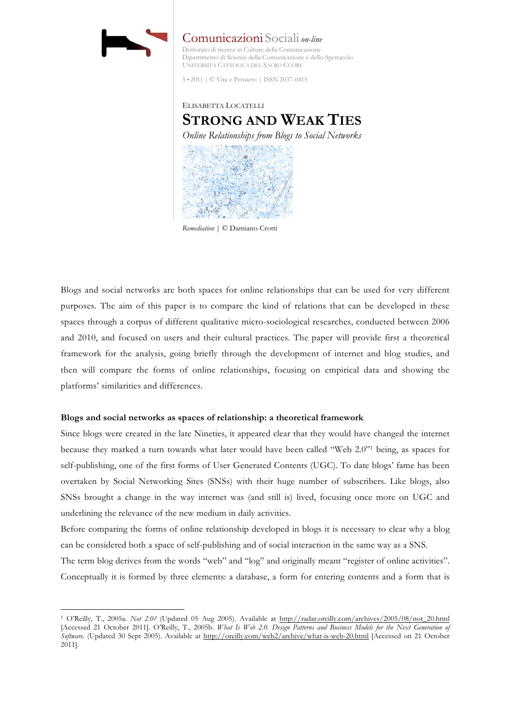

 $\overline{a}$ 

Comunicazioni Sociali *on-line* Dottorato di ricerca in Culture della Comunicazione Dipartimento di Scienze della Comunicazione e dello Spettacolo UNIVERSITÀ CATTOLICA DEL SACRO CUORE

5 • 2011 | © Vita e Pensiero | ISSN 2037-0415



*Remediation* | © Damiano Crotti

Blogs and social networks are both spaces for online relationships that can be used for very different purposes. The aim of this paper is to compare the kind of relations that can be developed in these spaces through a corpus of different qualitative micro-sociological researches, conducted between 2006 and 2010, and focused on users and their cultural practices. The paper will provide first a theoretical framework for the analysis, going briefly through the development of internet and blog studies, and then will compare the forms of online relationships, focusing on empirical data and showing the platforms' similarities and differences.

# **Blogs and social networks as spaces of relationship: a theoretical framework**

Since blogs were created in the late Nineties, it appeared clear that they would have changed the internet because they marked a turn towards what later would have been called "Web 2.0"1 being, as spaces for self-publishing, one of the first forms of User Generated Contents (UGC). To date blogs' fame has been overtaken by Social Networking Sites (SNSs) with their huge number of subscribers. Like blogs, also SNSs brought a change in the way internet was (and still is) lived, focusing once more on UGC and underlining the relevance of the new medium in daily activities.

Before comparing the forms of online relationship developed in blogs it is necessary to clear why a blog can be considered both a space of self-publishing and of social interaction in the same way as a SNS. The term blog derives from the words "web" and "log" and originally meant "register of online activities". Conceptually it is formed by three elements: a database, a form for entering contents and a form that is

<sup>1</sup> O'Reilly, T., 2005a. *Not 2.0?* (Updated 05 Aug 2005). Available at http://radar.oreilly.com/archives/2005/08/not\_20.html [Accessed 21 October 2011]. O'Reilly, T., 2005b. *What Is Web 2.0. Design Patterns and Business Models for the Next Generation of Software*. (Updated 30 Sept 2005). Available at http://oreilly.com/web2/archive/what-is-web-20.html [Accessed on 21 October 2011].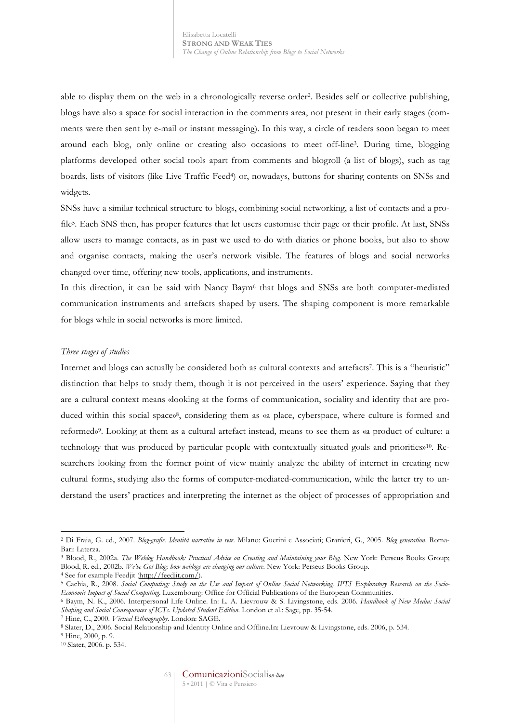able to display them on the web in a chronologically reverse order2. Besides self or collective publishing, blogs have also a space for social interaction in the comments area, not present in their early stages (comments were then sent by e-mail or instant messaging). In this way, a circle of readers soon began to meet around each blog, only online or creating also occasions to meet off-line3. During time, blogging platforms developed other social tools apart from comments and blogroll (a list of blogs), such as tag boards, lists of visitors (like Live Traffic Feed<sup>4</sup>) or, nowadays, buttons for sharing contents on SNSs and widgets.

SNSs have a similar technical structure to blogs, combining social networking, a list of contacts and a profile5. Each SNS then, has proper features that let users customise their page or their profile. At last, SNSs allow users to manage contacts, as in past we used to do with diaries or phone books, but also to show and organise contacts, making the user's network visible. The features of blogs and social networks changed over time, offering new tools, applications, and instruments.

In this direction, it can be said with Nancy Baym<sup>6</sup> that blogs and SNSs are both computer-mediated communication instruments and artefacts shaped by users. The shaping component is more remarkable for blogs while in social networks is more limited.

### *Three stages of studies*

Internet and blogs can actually be considered both as cultural contexts and artefacts7. This is a "heuristic" distinction that helps to study them, though it is not perceived in the users' experience. Saying that they are a cultural context means «looking at the forms of communication, sociality and identity that are produced within this social space»<sup>8</sup>, considering them as «a place, cyberspace, where culture is formed and reformed»9. Looking at them as a cultural artefact instead, means to see them as «a product of culture: a technology that was produced by particular people with contextually situated goals and priorities»10. Researchers looking from the former point of view mainly analyze the ability of internet in creating new cultural forms, studying also the forms of computer-mediated-communication, while the latter try to understand the users' practices and interpreting the internet as the object of processes of appropriation and

<sup>2</sup> Di Fraia, G. ed., 2007. *Blog-grafie. Identità narrative in rete*. Milano: Guerini e Associati; Granieri, G., 2005. *Blog generation*. Roma-Bari: Laterza.

<sup>3</sup> Blood, R., 2002a. *The Weblog Handbook: Practical Advice on Creating and Maintaining your Blog*. New York: Perseus Books Group; Blood, R. ed., 2002b. *We've Got Blog: how weblogs are changing our culture*. New York: Perseus Books Group. 4 See for example Feedjit (http://feedjit.com/).

<sup>5</sup> Cachia, R., 2008. *Social Computing: Study on the Use and Impact of Online Social Networking. IPTS Exploratory Research on the Socio-*Economic Impact of Social Computing. Luxembourg: Office for Official Publications of the European Communities.<br>6 Baym, N. K., 2006. Interpersonal Life Online. In: L. A. Lievrouw & S. Livingstone, eds. 2006. Handbook of New

*Shaping and Social Consequences of ICTs. Updated Student Edition*. London et al.: Sage, pp. 35-54.

<sup>7</sup> Hine, C., 2000. *Virtual Ethnography*. London: SAGE. 8 Slater, D., 2006. Social Relationship and Identity Online and Offline.In: Lievrouw & Livingstone, eds. 2006, p. 534. 9 Hine, 2000, p. 9.

<sup>10</sup> Slater, 2006. p. 534.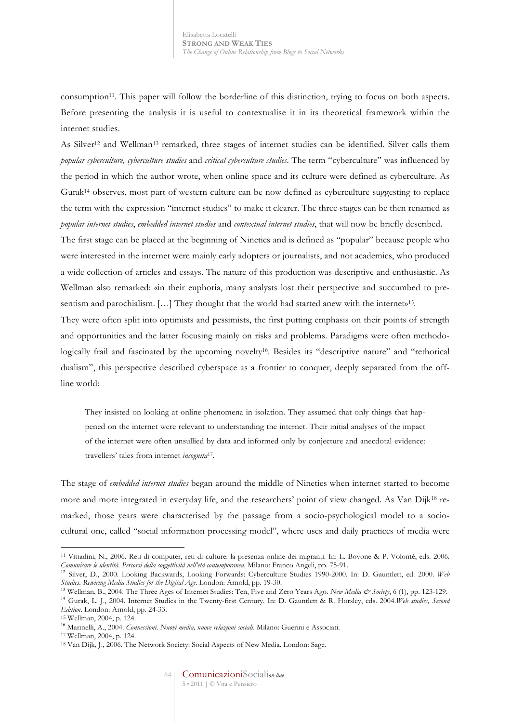consumption11. This paper will follow the borderline of this distinction, trying to focus on both aspects. Before presenting the analysis it is useful to contextualise it in its theoretical framework within the internet studies.

As Silver12 and Wellman13 remarked, three stages of internet studies can be identified. Silver calls them *popular cyberculture, cyberculture studies* and *critical cyberculture studies*. The term "cyberculture" was influenced by the period in which the author wrote, when online space and its culture were defined as cyberculture. As Gurak14 observes, most part of western culture can be now defined as cyberculture suggesting to replace the term with the expression "internet studies" to make it clearer. The three stages can be then renamed as *popular internet studies*, *embedded internet studies* and *contextual internet studies*, that will now be briefly described.

The first stage can be placed at the beginning of Nineties and is defined as "popular" because people who were interested in the internet were mainly early adopters or journalists, and not academics, who produced a wide collection of articles and essays. The nature of this production was descriptive and enthusiastic. As Wellman also remarked: «in their euphoria, many analysts lost their perspective and succumbed to presentism and parochialism. [...] They thought that the world had started anew with the internet»<sup>15</sup>.

They were often split into optimists and pessimists, the first putting emphasis on their points of strength and opportunities and the latter focusing mainly on risks and problems. Paradigms were often methodologically frail and fascinated by the upcoming novelty<sup>16</sup>. Besides its "descriptive nature" and "rethorical dualism", this perspective described cyberspace as a frontier to conquer, deeply separated from the offline world:

They insisted on looking at online phenomena in isolation. They assumed that only things that happened on the internet were relevant to understanding the internet. Their initial analyses of the impact of the internet were often unsullied by data and informed only by conjecture and anecdotal evidence: travellers' tales from internet *incognita*17.

The stage of *embedded internet studies* began around the middle of Nineties when internet started to become more and more integrated in everyday life, and the researchers' point of view changed. As Van Dijk18 remarked, those years were characterised by the passage from a socio-psychological model to a sociocultural one, called "social information processing model", where uses and daily practices of media were

<sup>11</sup> Vittadini, N., 2006. Reti di computer, reti di culture: la presenza online dei migranti. In: L. Bovone & P. Volontè, eds. 2006. *Comunicare le identità. Percorsi della soggettività nell'età contemporanea*. Milano: Franco Angeli, pp. 75-91.

<sup>12</sup> Silver, D., 2000. Looking Backwards, Looking Forwards: Cyberculture Studies 1990-2000. In: D. Gauntlett, ed. 2000. *Web Studies. Rewiring Media Studies for the Digital Age*. London: Arnold, pp. 19-30.

<sup>13</sup> Wellman, B., 2004. The Three Ages of Internet Studies: Ten, Five and Zero Years Ago. *New Media & Society*, 6 (1), pp. 123-129.

<sup>14</sup> Gurak, L. J., 2004. Internet Studies in the Twenty-first Century. In: D. Gauntlett & R. Horsley, eds. 2004.*Web studies, Second Edition*. London: Arnold, pp. 24-33. 15 Wellman, 2004, p. 124.

<sup>16</sup> Marinelli, A., 2004. *Connessioni. Nuovi media, nuove relazioni sociali*. Milano: Guerini e Associati. 17 Wellman, 2004, p. 124.

<sup>18</sup> Van Dijk, J., 2006. The Network Society: Social Aspects of New Media. London: Sage.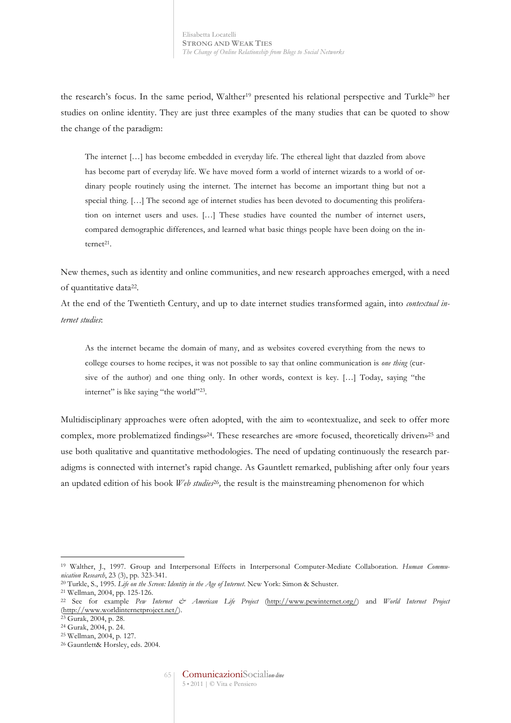the research's focus. In the same period, Walther<sup>19</sup> presented his relational perspective and Turkle<sup>20</sup> her studies on online identity. They are just three examples of the many studies that can be quoted to show the change of the paradigm:

The internet […] has become embedded in everyday life. The ethereal light that dazzled from above has become part of everyday life. We have moved form a world of internet wizards to a world of ordinary people routinely using the internet. The internet has become an important thing but not a special thing. […] The second age of internet studies has been devoted to documenting this proliferation on internet users and uses. […] These studies have counted the number of internet users, compared demographic differences, and learned what basic things people have been doing on the internet<sup>21</sup>.

New themes, such as identity and online communities, and new research approaches emerged, with a need of quantitative data22.

At the end of the Twentieth Century, and up to date internet studies transformed again, into *contextual internet studies*:

As the internet became the domain of many, and as websites covered everything from the news to college courses to home recipes, it was not possible to say that online communication is *one thing* (cursive of the author) and one thing only. In other words, context is key. […] Today, saying "the internet" is like saying "the world"<sup>23</sup>.

Multidisciplinary approaches were often adopted, with the aim to «contextualize, and seek to offer more complex, more problematized findings»24. These researches are «more focused, theoretically driven»25 and use both qualitative and quantitative methodologies. The need of updating continuously the research paradigms is connected with internet's rapid change. As Gauntlett remarked, publishing after only four years an updated edition of his book *Web studies*26*,* the result is the mainstreaming phenomenon for which

<sup>&</sup>lt;sup>19</sup> Walther, J., 1997. Group and Interpersonal Effects in Interpersonal Computer-Mediate Collaboration. *Human Communication Research*, 23 (3), pp. 323-341.

<sup>20</sup> Turkle, S., 1995. *Life on the Screen: Identity in the Age of Internet*. New York: Simon & Schuster.

<sup>21</sup> Wellman, 2004, pp. 125-126.

<sup>22</sup> See for example *Pew Internet & American Life Project* (http://www.pewinternet.org/) and *World Internet Project*  (http://www.worldinternetproject.net/).

<sup>23</sup> Gurak, 2004, p. 28.

<sup>24</sup> Gurak, 2004, p. 24.

<sup>25</sup> Wellman, 2004, p. 127.

<sup>26</sup> Gauntlett& Horsley, eds. 2004.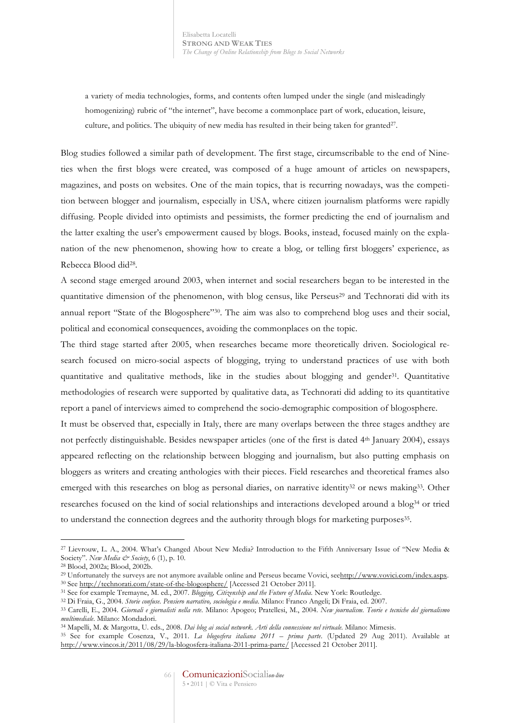a variety of media technologies, forms, and contents often lumped under the single (and misleadingly homogenizing) rubric of "the internet", have become a commonplace part of work, education, leisure, culture, and politics. The ubiquity of new media has resulted in their being taken for granted<sup>27</sup>.

Blog studies followed a similar path of development. The first stage, circumscribable to the end of Nineties when the first blogs were created, was composed of a huge amount of articles on newspapers, magazines, and posts on websites. One of the main topics, that is recurring nowadays, was the competition between blogger and journalism, especially in USA, where citizen journalism platforms were rapidly diffusing. People divided into optimists and pessimists, the former predicting the end of journalism and the latter exalting the user's empowerment caused by blogs. Books, instead, focused mainly on the explanation of the new phenomenon, showing how to create a blog, or telling first bloggers' experience, as Rebecca Blood did28.

A second stage emerged around 2003, when internet and social researchers began to be interested in the quantitative dimension of the phenomenon, with blog census, like Perseus<sup>29</sup> and Technorati did with its annual report "State of the Blogosphere"30. The aim was also to comprehend blog uses and their social, political and economical consequences, avoiding the commonplaces on the topic.

The third stage started after 2005, when researches became more theoretically driven. Sociological research focused on micro-social aspects of blogging, trying to understand practices of use with both quantitative and qualitative methods, like in the studies about blogging and gender31. Quantitative methodologies of research were supported by qualitative data, as Technorati did adding to its quantitative report a panel of interviews aimed to comprehend the socio-demographic composition of blogosphere.

It must be observed that, especially in Italy, there are many overlaps between the three stages andthey are not perfectly distinguishable. Besides newspaper articles (one of the first is dated 4th January 2004), essays appeared reflecting on the relationship between blogging and journalism, but also putting emphasis on bloggers as writers and creating anthologies with their pieces. Field researches and theoretical frames also emerged with this researches on blog as personal diaries, on narrative identity<sup>32</sup> or news making<sup>33</sup>. Other researches focused on the kind of social relationships and interactions developed around a blog34 or tried to understand the connection degrees and the authority through blogs for marketing purposes<sup>35</sup>.

<sup>27</sup> Lievrouw, L. A., 2004. What's Changed About New Media? Introduction to the Fifth Anniversary Issue of "New Media & Society". *New Media & Society*, 6 (1), p. 10.

<sup>28</sup> Blood, 2002a; Blood, 2002b.

<sup>&</sup>lt;sup>29</sup> Unfortunately the surveys are not anymore available online and Perseus became Vovici, seehttp://www.vovici.com/index.aspx. <sup>30</sup> See http://technorati.com/state-of-the-blogosphere/ [Accessed 21 October 2011].

<sup>&</sup>lt;sup>31</sup> See for example Tremayne, M. ed., 2007. Blogging, Citizenship and the Future of Media. New York: Routledge.<br><sup>32</sup> Di Fraia, G., 2004. Storie confuse. Pensiero narrativo, sociologia e media. Milano: Franco Angeli; Di Fr

<sup>33</sup> Carelli, E., 2004. *Giornali e giornalisti nella rete*. Milano: Apogeo; Pratellesi, M., 2004. *New journalism. Teorie e tecniche del giornalismo multimediale*. Milano: Mondadori.

<sup>&</sup>lt;sup>35</sup> See for example Cosenza, V., 2011. La *blogosfera italiana 2011 – prima parte*. (Updated 29 Aug 2011). Available at http://www.vincos.it/2011/08/29/la-blogosfera-italiana-2011-prima-parte/ [Accessed 21 October 2011].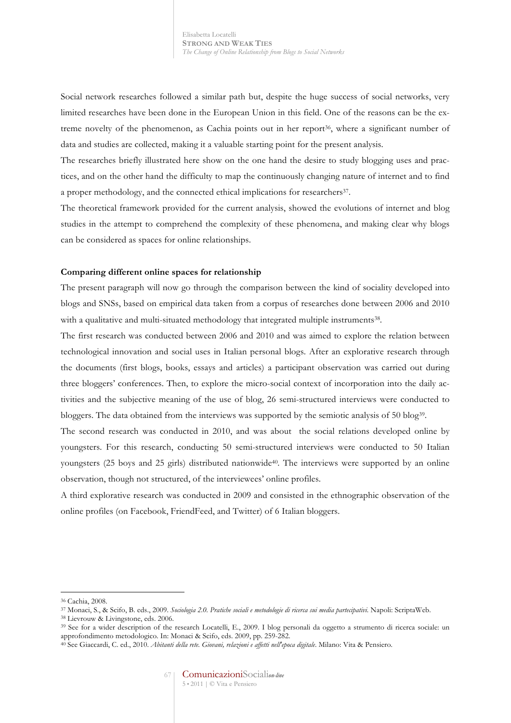Social network researches followed a similar path but, despite the huge success of social networks, very limited researches have been done in the European Union in this field. One of the reasons can be the extreme novelty of the phenomenon, as Cachia points out in her report<sup>36</sup>, where a significant number of data and studies are collected, making it a valuable starting point for the present analysis.

The researches briefly illustrated here show on the one hand the desire to study blogging uses and practices, and on the other hand the difficulty to map the continuously changing nature of internet and to find a proper methodology, and the connected ethical implications for researchers<sup>37</sup>.

The theoretical framework provided for the current analysis, showed the evolutions of internet and blog studies in the attempt to comprehend the complexity of these phenomena, and making clear why blogs can be considered as spaces for online relationships.

### **Comparing different online spaces for relationship**

The present paragraph will now go through the comparison between the kind of sociality developed into blogs and SNSs, based on empirical data taken from a corpus of researches done between 2006 and 2010 with a qualitative and multi-situated methodology that integrated multiple instruments<sup>38</sup>.

The first research was conducted between 2006 and 2010 and was aimed to explore the relation between technological innovation and social uses in Italian personal blogs. After an explorative research through the documents (first blogs, books, essays and articles) a participant observation was carried out during three bloggers' conferences. Then, to explore the micro-social context of incorporation into the daily activities and the subjective meaning of the use of blog, 26 semi-structured interviews were conducted to bloggers. The data obtained from the interviews was supported by the semiotic analysis of 50 blog<sup>39</sup>.

The second research was conducted in 2010, and was about the social relations developed online by youngsters. For this research, conducting 50 semi-structured interviews were conducted to 50 Italian youngsters (25 boys and 25 girls) distributed nationwide40. The interviews were supported by an online observation, though not structured, of the interviewees' online profiles.

A third explorative research was conducted in 2009 and consisted in the ethnographic observation of the online profiles (on Facebook, FriendFeed, and Twitter) of 6 Italian bloggers.

<sup>36</sup> Cachia, 2008.

<sup>37</sup> Monaci, S., & Scifo, B. eds., 2009. *Sociologia 2.0. Pratiche sociali e metodologie di ricerca sui media partecipativi*. Napoli: ScriptaWeb. 38 Lievrouw & Livingstone, eds. 2006.

<sup>39</sup> See for a wider description of the research Locatelli, E., 2009. I blog personali da oggetto a strumento di ricerca sociale: un approfondimento metodologico. In: Monaci & Scifo, eds. 2009, pp. 259-282. 40 See Giaccardi, C. ed., 2010. *Abitanti della rete. Giovani, relazioni e affetti nell'epoca digitale*. Milano: Vita & Pensiero.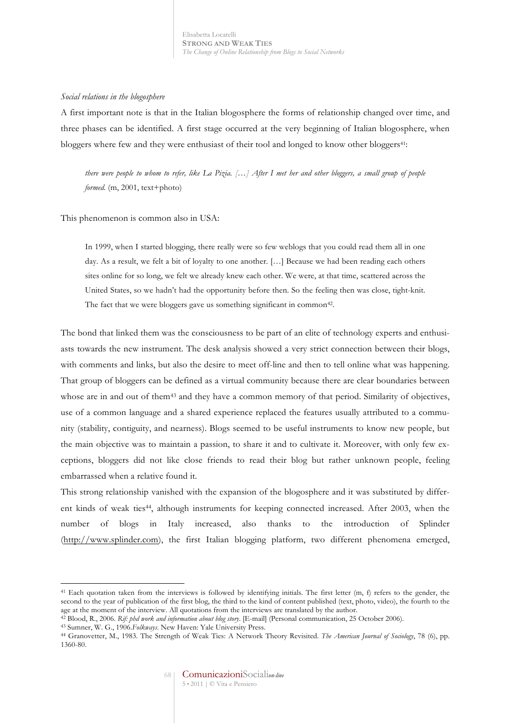# *Social relations in the blogosphere*

A first important note is that in the Italian blogosphere the forms of relationship changed over time, and three phases can be identified. A first stage occurred at the very beginning of Italian blogosphere, when bloggers where few and they were enthusiast of their tool and longed to know other bloggers<sup>41</sup>:

*there were people to whom to refer, like La Pizia. […] After I met her and other bloggers, a small group of people formed.* (m, 2001, text+photo)

This phenomenon is common also in USA:

In 1999, when I started blogging, there really were so few weblogs that you could read them all in one day. As a result, we felt a bit of loyalty to one another. […] Because we had been reading each others sites online for so long, we felt we already knew each other. We were, at that time, scattered across the United States, so we hadn't had the opportunity before then. So the feeling then was close, tight-knit. The fact that we were bloggers gave us something significant in common<sup>42</sup>.

The bond that linked them was the consciousness to be part of an elite of technology experts and enthusiasts towards the new instrument. The desk analysis showed a very strict connection between their blogs, with comments and links, but also the desire to meet off-line and then to tell online what was happening. That group of bloggers can be defined as a virtual community because there are clear boundaries between whose are in and out of them<sup>43</sup> and they have a common memory of that period. Similarity of objectives, use of a common language and a shared experience replaced the features usually attributed to a community (stability, contiguity, and nearness). Blogs seemed to be useful instruments to know new people, but the main objective was to maintain a passion, to share it and to cultivate it. Moreover, with only few exceptions, bloggers did not like close friends to read their blog but rather unknown people, feeling embarrassed when a relative found it.

This strong relationship vanished with the expansion of the blogosphere and it was substituted by different kinds of weak ties44, although instruments for keeping connected increased. After 2003, when the number of blogs in Italy increased, also thanks to the introduction of Splinder (http://www.splinder.com), the first Italian blogging platform, two different phenomena emerged,

<sup>41</sup> Each quotation taken from the interviews is followed by identifying initials. The first letter (m, f) refers to the gender, the second to the year of publication of the first blog, the third to the kind of content published (text, photo, video), the fourth to the age at the moment of the interview. All quotations from the interviews are translated by the author.<br><sup>42</sup> Blood, R., 2006. Rif: phd work and information about blog story. [E-mail] (Personal communication, 25 October 2006).

<sup>43</sup> Sumner, W. G., 1906.*Folkways*. New Haven: Yale University Press.

<sup>44</sup> Granovetter, M., 1983. The Strength of Weak Ties: A Network Theory Revisited. *The American Journal of Sociology*, 78 (6), pp. 1360-80.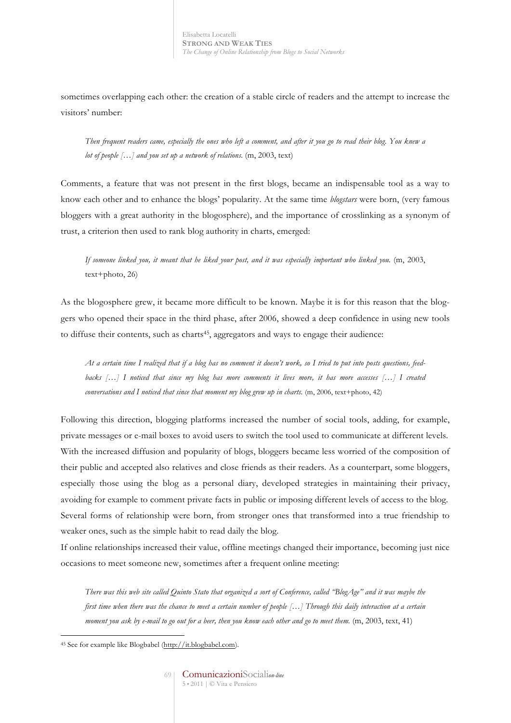sometimes overlapping each other: the creation of a stable circle of readers and the attempt to increase the visitors' number:

*Then frequent readers came, especially the ones who left a comment, and after it you go to read their blog. You knew a lot of people […] and you set up a network of relations.* (m, 2003, text)

Comments, a feature that was not present in the first blogs, became an indispensable tool as a way to know each other and to enhance the blogs' popularity. At the same time *blogstars* were born, (very famous bloggers with a great authority in the blogosphere), and the importance of crosslinking as a synonym of trust, a criterion then used to rank blog authority in charts, emerged:

*If someone linked you, it meant that he liked your post, and it was especially important who linked you.* (m, 2003, text+photo, 26)

As the blogosphere grew, it became more difficult to be known. Maybe it is for this reason that the bloggers who opened their space in the third phase, after 2006, showed a deep confidence in using new tools to diffuse their contents, such as charts<sup>45</sup>, aggregators and ways to engage their audience:

*At a certain time I realized that if a blog has no comment it doesn't work, so I tried to put into posts questions, feedbacks […] I noticed that since my blog has more comments it lives more, it has more accesses […] I created conversations and I noticed that since that moment my blog grew up in charts.* (m, 2006, text+photo, 42)

Following this direction, blogging platforms increased the number of social tools, adding, for example, private messages or e-mail boxes to avoid users to switch the tool used to communicate at different levels. With the increased diffusion and popularity of blogs, bloggers became less worried of the composition of their public and accepted also relatives and close friends as their readers. As a counterpart, some bloggers, especially those using the blog as a personal diary, developed strategies in maintaining their privacy, avoiding for example to comment private facts in public or imposing different levels of access to the blog. Several forms of relationship were born, from stronger ones that transformed into a true friendship to weaker ones, such as the simple habit to read daily the blog.

If online relationships increased their value, offline meetings changed their importance, becoming just nice occasions to meet someone new, sometimes after a frequent online meeting:

*There was this web site called Quinto Stato that organized a sort of Conference, called "BlogAge" and it was maybe the first time when there was the chance to meet a certain number of people* [...] *Through this daily interaction at a certain moment you ask by e-mail to go out for a beer, then you know each other and go to meet them.* (m, 2003, text, 41)

 $\overline{a}$ <sup>45</sup> See for example like Blogbabel (http://it.blogbabel.com).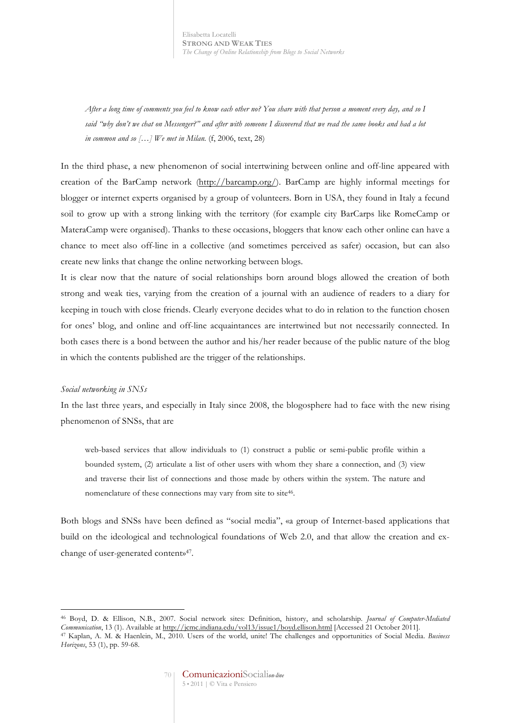Elisabetta Locatelli **STRONG AND WEAK TIES** *The Change of Online Relationship from Blogs to Social Networks*

*After a long time of comments you feel to know each other no? You share with that person a moment every day, and so I said "why don't we chat on Messenger?" and after with someone I discovered that we read the same books and had a lot in common and so […] We met in Milan.* (f, 2006, text, 28)

In the third phase, a new phenomenon of social intertwining between online and off-line appeared with creation of the BarCamp network (http://barcamp.org/). BarCamp are highly informal meetings for blogger or internet experts organised by a group of volunteers. Born in USA, they found in Italy a fecund soil to grow up with a strong linking with the territory (for example city BarCarps like RomeCamp or MateraCamp were organised). Thanks to these occasions, bloggers that know each other online can have a chance to meet also off-line in a collective (and sometimes perceived as safer) occasion, but can also create new links that change the online networking between blogs.

It is clear now that the nature of social relationships born around blogs allowed the creation of both strong and weak ties, varying from the creation of a journal with an audience of readers to a diary for keeping in touch with close friends. Clearly everyone decides what to do in relation to the function chosen for ones' blog, and online and off-line acquaintances are intertwined but not necessarily connected. In both cases there is a bond between the author and his/her reader because of the public nature of the blog in which the contents published are the trigger of the relationships.

### *Social networking in SNSs*

 $\overline{a}$ 

In the last three years, and especially in Italy since 2008, the blogosphere had to face with the new rising phenomenon of SNSs, that are

web-based services that allow individuals to (1) construct a public or semi-public profile within a bounded system, (2) articulate a list of other users with whom they share a connection, and (3) view and traverse their list of connections and those made by others within the system. The nature and nomenclature of these connections may vary from site to site46.

Both blogs and SNSs have been defined as "social media", «a group of Internet-based applications that build on the ideological and technological foundations of Web 2.0, and that allow the creation and exchange of user-generated content»47.

<sup>46</sup> Boyd, D. & Ellison, N.B., 2007. Social network sites: Definition, history, and scholarship. *Journal of Computer-Mediated Communication*, 13 (1). Available at http://jcmc.indiana.edu/vol13/issue1/boyd.ellison.html [Accessed 21 October 2011]. <sup>47</sup> Kaplan, A. M. & Haenlein, M., 2010. Users of the world, unite! The challenges and opportunities of Social Media. *Business Horizons*, 53 (1), pp. 59-68.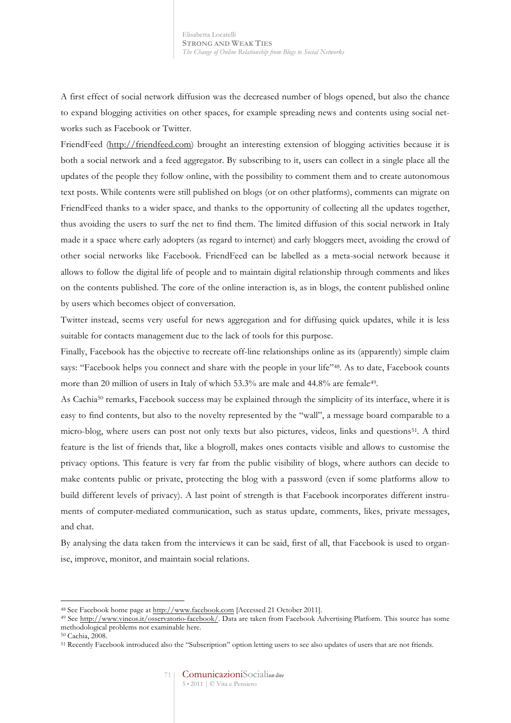A first effect of social network diffusion was the decreased number of blogs opened, but also the chance to expand blogging activities on other spaces, for example spreading news and contents using social networks such as Facebook or Twitter.

FriendFeed (http://friendfeed.com) brought an interesting extension of blogging activities because it is both a social network and a feed aggregator. By subscribing to it, users can collect in a single place all the updates of the people they follow online, with the possibility to comment them and to create autonomous text posts. While contents were still published on blogs (or on other platforms), comments can migrate on FriendFeed thanks to a wider space, and thanks to the opportunity of collecting all the updates together, thus avoiding the users to surf the net to find them. The limited diffusion of this social network in Italy made it a space where early adopters (as regard to internet) and early bloggers meet, avoiding the crowd of other social networks like Facebook. FriendFeed can be labelled as a meta-social network because it allows to follow the digital life of people and to maintain digital relationship through comments and likes on the contents published. The core of the online interaction is, as in blogs, the content published online by users which becomes object of conversation.

Twitter instead, seems very useful for news aggregation and for diffusing quick updates, while it is less suitable for contacts management due to the lack of tools for this purpose.

Finally, Facebook has the objective to recreate off-line relationships online as its (apparently) simple claim says: "Facebook helps you connect and share with the people in your life"<sup>48</sup>. As to date, Facebook counts more than 20 million of users in Italy of which 53.3% are male and 44.8% are female<sup>49</sup>.

As Cachia<sup>50</sup> remarks, Facebook success may be explained through the simplicity of its interface, where it is easy to find contents, but also to the novelty represented by the "wall", a message board comparable to a micro-blog, where users can post not only texts but also pictures, videos, links and questions51. A third feature is the list of friends that, like a blogroll, makes ones contacts visible and allows to customise the privacy options. This feature is very far from the public visibility of blogs, where authors can decide to make contents public or private, protecting the blog with a password (even if some platforms allow to build different levels of privacy). A last point of strength is that Facebook incorporates different instruments of computer-mediated communication, such as status update, comments, likes, private messages, and chat.

By analysing the data taken from the interviews it can be said, first of all, that Facebook is used to organise, improve, monitor, and maintain social relations.

<sup>48</sup> See Facebook home page at http://www.facebook.com [Accessed 21 October 2011].

<sup>&</sup>lt;sup>49</sup> See http://www.vincos.it/osservatorio-facebook/. Data are taken from Facebook Advertising Platform. This source has some methodological problems not examinable here.

<sup>50</sup> Cachia, 2008.

<sup>51</sup> Recently Facebook introduced also the "Subscription" option letting users to see also updates of users that are not friends.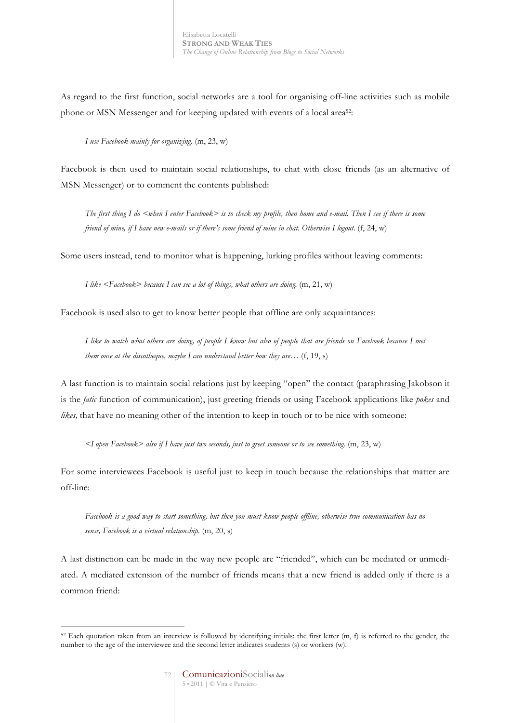As regard to the first function, social networks are a tool for organising off-line activities such as mobile phone or MSN Messenger and for keeping updated with events of a local area52:

*I use Facebook mainly for organizing.* (m, 23, w)

Facebook is then used to maintain social relationships, to chat with close friends (as an alternative of MSN Messenger) or to comment the contents published:

*The first thing I do <when I enter Facebook> is to check my profile, then home and e-mail. Then I see if there is some friend of mine, if I have new e-mails or if there's some friend of mine in chat. Otherwise I logout.* (f, 24, w)

Some users instead, tend to monitor what is happening, lurking profiles without leaving comments:

*I like <Facebook> because I can see a lot of things, what others are doing.* (m, 21, w)

Facebook is used also to get to know better people that offline are only acquaintances:

*I like to watch what others are doing, of people I know but also of people that are friends on Facebook because I met them once at the discotheque, maybe I can understand better how they are…* (f, 19, s)

A last function is to maintain social relations just by keeping "open" the contact (paraphrasing Jakobson it is the *fatic* function of communication), just greeting friends or using Facebook applications like *pokes* and *likes,* that have no meaning other of the intention to keep in touch or to be nice with someone:

*<I open Facebook> also if I have just two seconds, just to greet someone or to see something.* (m, 23, w)

For some interviewees Facebook is useful just to keep in touch because the relationships that matter are off-line:

*Facebook is a good way to start something, but then you must know people offline, otherwise true communication has no sense, Facebook is a virtual relationship.* (m, 20, s)

A last distinction can be made in the way new people are "friended", which can be mediated or unmediated. A mediated extension of the number of friends means that a new friend is added only if there is a common friend:

 $\overline{a}$  $52$  Each quotation taken from an interview is followed by identifying initials: the first letter (m, f) is referred to the gender, the number to the age of the interviewee and the second letter indicates students (s) or workers (w).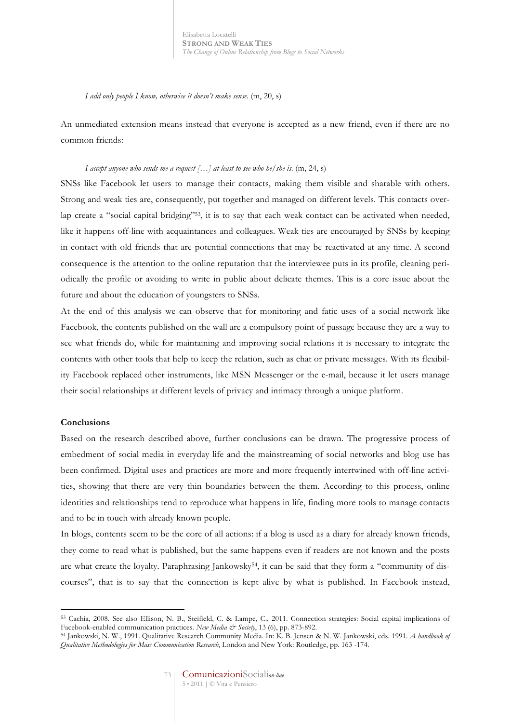*I add only people I know, otherwise it doesn't make sense.* (m, 20, s)

An unmediated extension means instead that everyone is accepted as a new friend, even if there are no common friends:

### *I accept anyone who sends me a request […] at least to see who he/she is.* (m, 24, s)

SNSs like Facebook let users to manage their contacts, making them visible and sharable with others. Strong and weak ties are, consequently, put together and managed on different levels. This contacts overlap create a "social capital bridging"<sup>53</sup>, it is to say that each weak contact can be activated when needed, like it happens off-line with acquaintances and colleagues. Weak ties are encouraged by SNSs by keeping in contact with old friends that are potential connections that may be reactivated at any time. A second consequence is the attention to the online reputation that the interviewee puts in its profile, cleaning periodically the profile or avoiding to write in public about delicate themes. This is a core issue about the future and about the education of youngsters to SNSs.

At the end of this analysis we can observe that for monitoring and fatic uses of a social network like Facebook, the contents published on the wall are a compulsory point of passage because they are a way to see what friends do, while for maintaining and improving social relations it is necessary to integrate the contents with other tools that help to keep the relation, such as chat or private messages. With its flexibility Facebook replaced other instruments, like MSN Messenger or the e-mail, because it let users manage their social relationships at different levels of privacy and intimacy through a unique platform.

# **Conclusions**

 $\overline{a}$ 

Based on the research described above, further conclusions can be drawn. The progressive process of embedment of social media in everyday life and the mainstreaming of social networks and blog use has been confirmed. Digital uses and practices are more and more frequently intertwined with off-line activities, showing that there are very thin boundaries between the them. According to this process, online identities and relationships tend to reproduce what happens in life, finding more tools to manage contacts and to be in touch with already known people.

In blogs, contents seem to be the core of all actions: if a blog is used as a diary for already known friends, they come to read what is published, but the same happens even if readers are not known and the posts are what create the loyalty. Paraphrasing Jankowsky54, it can be said that they form a "community of discourses", that is to say that the connection is kept alive by what is published. In Facebook instead,

<sup>53</sup> Cachia, 2008. See also Ellison, N. B., Steifield, C. & Lampe, C., 2011. Connection strategies: Social capital implications of Facebook-enabled communication practices. *New Media & Society*, 13 (6), pp. 873-892.

<sup>54</sup> Jankowski, N. W., 1991. Qualitative Research Community Media. In: K. B. Jensen & N. W. Jankowski, eds. 1991. *A handbook of Qualitative Methodologies for Mass Communication Research*, London and New York: Routledge, pp. 163 -174.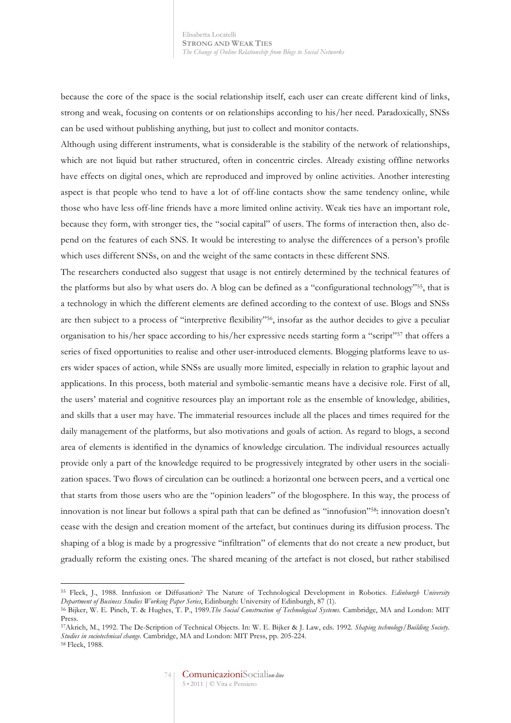because the core of the space is the social relationship itself, each user can create different kind of links, strong and weak, focusing on contents or on relationships according to his/her need. Paradoxically, SNSs can be used without publishing anything, but just to collect and monitor contacts.

Although using different instruments, what is considerable is the stability of the network of relationships, which are not liquid but rather structured, often in concentric circles. Already existing offline networks have effects on digital ones, which are reproduced and improved by online activities. Another interesting aspect is that people who tend to have a lot of off-line contacts show the same tendency online, while those who have less off-line friends have a more limited online activity. Weak ties have an important role, because they form, with stronger ties, the "social capital" of users. The forms of interaction then, also depend on the features of each SNS. It would be interesting to analyse the differences of a person's profile which uses different SNSs, on and the weight of the same contacts in these different SNS.

The researchers conducted also suggest that usage is not entirely determined by the technical features of the platforms but also by what users do. A blog can be defined as a "configurational technology"55, that is a technology in which the different elements are defined according to the context of use. Blogs and SNSs are then subject to a process of "interpretive flexibility"56, insofar as the author decides to give a peculiar organisation to his/her space according to his/her expressive needs starting form a "script"57 that offers a series of fixed opportunities to realise and other user-introduced elements. Blogging platforms leave to users wider spaces of action, while SNSs are usually more limited, especially in relation to graphic layout and applications. In this process, both material and symbolic-semantic means have a decisive role. First of all, the users' material and cognitive resources play an important role as the ensemble of knowledge, abilities, and skills that a user may have. The immaterial resources include all the places and times required for the daily management of the platforms, but also motivations and goals of action. As regard to blogs, a second area of elements is identified in the dynamics of knowledge circulation. The individual resources actually provide only a part of the knowledge required to be progressively integrated by other users in the socialization spaces. Two flows of circulation can be outlined: a horizontal one between peers, and a vertical one that starts from those users who are the "opinion leaders" of the blogosphere. In this way, the process of innovation is not linear but follows a spiral path that can be defined as "innofusion"58: innovation doesn't cease with the design and creation moment of the artefact, but continues during its diffusion process. The shaping of a blog is made by a progressive "infiltration" of elements that do not create a new product, but gradually reform the existing ones. The shared meaning of the artefact is not closed, but rather stabilised

<sup>55</sup> Fleck, J., 1988. Innfusion or Diffusation? The Nature of Technological Development in Robotics*. Edinburgh University*  Department of Business Studies Working Paper Series, Edinburgh: University of Edinburgh, 87 (1).<br><sup>56</sup> Bijker, W. E. Pinch, T. & Hughes, T. P., 1989.The Social Construction of Technological Systems. Cambridge, MA and London

Press.

<sup>57</sup>Akrich, M., 1992. The De-Scription of Technical Objects. In: W. E. Bijker & J. Law, eds. 1992. *Shaping technology/Building Society. Studies in sociotechnical change*. Cambridge, MA and London: MIT Press, pp. 205-224. <sup>58</sup> Fleck, 1988.